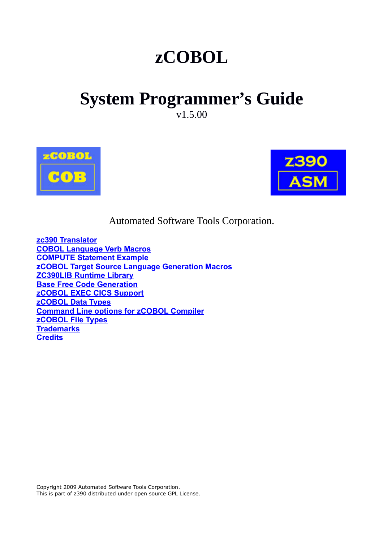# **zCOBOL**

# **System Programmer's Guide**

v1.5.00





Automated Software Tools Corporation.

**[zc390 Translator](#page-1-0) [COBOL Language Verb Macros](#page-1-2) [COMPUTE Statement Example](#page-1-1) [zCOBOL Target Source Language Generation Macros](#page-3-1) [ZC390LIB Runtime Library](#page-3-0) [Base Free Code Generation](#page-4-2) [zCOBOL EXEC CICS Support](#page-4-1) [zCOBOL Data Types](#page-4-0) [Command Line options for zCOBOL Compiler](#page-5-0) [zCOBOL File Types](#page-6-0) [Trademarks](#page-7-1) [Credits](#page-7-0)**

Copyright 2009 Automated Software Tools Corporation. This is part of z390 distributed under open source GPL License.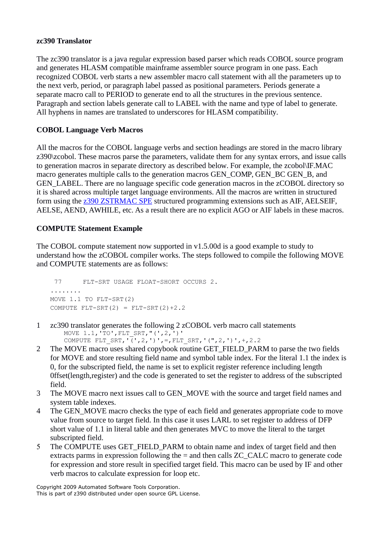#### <span id="page-1-0"></span>**zc390 Translator**

The zc390 translator is a java regular expression based parser which reads COBOL source program and generates HLASM compatible mainframe assembler source program in one pass. Each recognized COBOL verb starts a new assembler macro call statement with all the parameters up to the next verb, period, or paragraph label passed as positional parameters. Periods generate a separate macro call to PERIOD to generate end to all the structures in the previous sentence. Paragraph and section labels generate call to LABEL with the name and type of label to generate. All hyphens in names are translated to underscores for HLASM compatibility.

# <span id="page-1-2"></span>**COBOL Language Verb Macros**

All the macros for the COBOL language verbs and section headings are stored in the macro library z390\zcobol. These macros parse the parameters, validate them for any syntax errors, and issue calls to generation macros in separate directory as described below. For example, the zcobol\IF.MAC macro generates multiple calls to the generation macros GEN\_COMP, GEN\_BC GEN\_B, and GEN\_LABEL. There are no language specific code generation macros in the zCOBOL directory so it is shared across multiple target language environments. All the macros are written in structured form using the [z390 ZSTRMAC SPE](http://www.z390.org/z390_ZSTRMAC_Structured_Macro_Support.htm) structured programming extensions such as AIF, AELSEIF, AELSE, AEND, AWHILE, etc. As a result there are no explicit AGO or AIF labels in these macros.

## <span id="page-1-1"></span>**COMPUTE Statement Example**

The COBOL compute statement now supported in v1.5.00d is a good example to study to understand how the zCOBOL compiler works. The steps followed to compile the following MOVE and COMPUTE statements are as follows:

```
 77 FLT-SRT USAGE FLOAT-SHORT OCCURS 2.
........ 
MOVE 1.1 TO FLT-SRT(2)
COMPUTE FLT-SRT(2) = FLT-SRT(2)+2.2
```
- 1 zc390 translator generates the following 2 zCOBOL verb macro call statements MOVE 1.1,'TO',FLT\_SRT,"(',2,')' COMPUTE FLT SRT,  $(\sqrt{1},2,1)$ ', =, FLT SRT, '(", 2, ')', +, 2.2
- 2 The MOVE macro uses shared copybook routine GET\_FIELD\_PARM to parse the two fields for MOVE and store resulting field name and symbol table index. For the literal 1.1 the index is 0, for the subscripted field, the name is set to explicit register reference including length 0ffset(length,register) and the code is generated to set the register to address of the subscripted field.
- 3 The MOVE macro next issues call to GEN\_MOVE with the source and target field names and system table indexes.
- 4 The GEN\_MOVE macro checks the type of each field and generates appropriate code to move value from source to target field. In this case it uses LARL to set register to address of DFP short value of 1.1 in literal table and then generates MVC to move the literal to the target subscripted field.
- 5 The COMPUTE uses GET\_FIELD\_PARM to obtain name and index of target field and then extracts parms in expression following the = and then calls ZC\_CALC macro to generate code for expression and store result in specified target field. This macro can be used by IF and other verb macros to calculate expression for loop etc.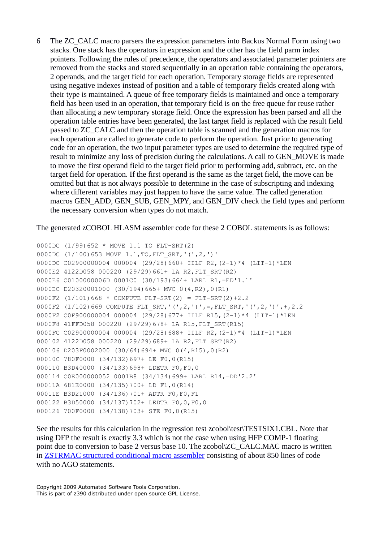6 The ZC\_CALC macro parsers the expression parameters into Backus Normal Form using two stacks. One stack has the operators in expression and the other has the field parm index pointers. Following the rules of precedence, the operators and associated parameter pointers are removed from the stacks and stored sequentially in an operation table containing the operators, 2 operands, and the target field for each operation. Temporary storage fields are represented using negative indexes instead of position and a table of temporary fields created along with their type is maintained. A queue of free temporary fields is maintained and once a temporary field has been used in an operation, that temporary field is on the free queue for reuse rather than allocating a new temporary storage field. Once the expression has been parsed and all the operation table entries have been generated, the last target field is replaced with the result field passed to ZC\_CALC and then the operation table is scanned and the generation macros for each operation are called to generate code to perform the operation. Just prior to generating code for an operation, the two input parameter types are used to determine the required type of result to minimize any loss of precision during the calculations. A call to GEN\_MOVE is made to move the first operand field to the target field prior to performing add, subtract, etc. on the target field for operation. If the first operand is the same as the target field, the move can be omitted but that is not always possible to determine in the case of subscripting and indexing where different variables may just happen to have the same value. The called generation macros GEN\_ADD, GEN\_SUB, GEN\_MPY, and GEN\_DIV check the field types and perform the necessary conversion when types do not match.

The generated zCOBOL HLASM assembler code for these 2 COBOL statements is as follows:

```
0000DC (1/99)652 * MOVE 1.1 TO FLT-SRT(2)
0000DC (1/100)653 MOVE 1.1,TO,FLT_SRT,'(',2,')'
0000DC C02900000004 000004 (29/28)660+ IILF R2,(2-1)*4 (LIT-1)*LEN
0000E2 4122D058 000220 (29/29)661+ LA R2,FLT_SRT(R2)
0000E6 C0100000006D 0001C0 (30/193)664+ LARL R1,=ED'1.1'
0000EC D20320001000 (30/194)665+ MVC 0(4,R2),0(R1)
0000F2 (1/101)668 * COMPUTE FLT-SRT(2) = FLT-SRT(2)+2.20000F2 (1/102)669 COMPUTE FLT SRT,'(',2,')',=,FLT SRT,'(',2,')',+,2.2
0000F2 C0F900000004 000004 (29/28)677+ IILF R15,(2-1)*4 (LIT-1)*LEN
0000F8 41FFD058 000220 (29/29)678+ LA R15,FLT_SRT(R15)
0000FC C02900000004 000004 (29/28)688+ IILF R2,(2-1)*4 (LIT-1)*LEN
000102 4122D058 000220 (29/29)689+ LA R2,FLT_SRT(R2)
000106 D203F0002000 (30/64)694+ MVC 0(4,R15),0(R2)
00010C 780F0000 (34/132)697+ LE F0,0(R15)
000110 B3D40000 (34/133)698+ LDETR F0,F0,0
000114 C0E000000052 0001B8 (34/134)699+ LARL R14,=DD'2.2'
00011A 681E0000 (34/135)700+ LD F1,0(R14)
00011E B3D21000 (34/136)701+ ADTR F0,F0,F1
000122 B3D50000 (34/137)702+ LEDTR F0,0,F0,0
000126 700F0000 (34/138)703+ STE F0,0(R15)
```
See the results for this calculation in the regression test zcobol\test\TESTSIX1.CBL. Note that using DFP the result is exactly 3.3 which is not the case when using HFP COMP-1 floating point due to conversion to base 2 versus base 10. The zcobol\ZC\_CALC.MAC macro is written in [ZSTRMAC structured conditional macro assembler](http://www.z390.org/z390_ZSTRMAC_Structured_Macro_Support.htm) consisting of about 850 lines of code with no AGO statements.

Copyright 2009 Automated Software Tools Corporation. This is part of z390 distributed under open source GPL License.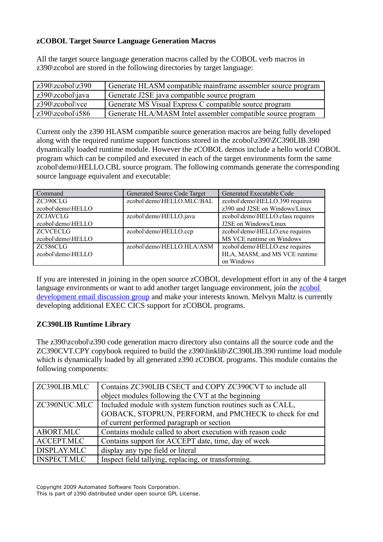## <span id="page-3-1"></span>**zCOBOL Target Source Language Generation Macros**

All the target source language generation macros called by the COBOL verb macros in z390\zcobol are stored in the following directories by target language:

| $z390\zeta z \cosh\zeta z \zeta 390$ | Generate HLASM compatible mainframe assembler source program |  |
|--------------------------------------|--------------------------------------------------------------|--|
| $z390\zeta z \cobol\eta w$ ava       | Generate J2SE java compatible source program                 |  |
| $z390\zeta$ zcobol $\zeta$           | Generate MS Visual Express C compatible source program       |  |
| $z390\zeta z \cobol\{i586$           | Generate HLA/MASM Intel assembler compatible source program  |  |

Current only the z390 HLASM compatible source generation macros are being fully developed along with the required runtime support functions stored in the zcobol\z390\ZC390LIB.390 dynamically loaded runtime module. However the zCOBOL demos include a hello world COBOL program which can be compiled and executed in each of the target environments form the same zcobol\demo\HELLO.CBL source program. The following commands generate the corresponding source language equivalent and executable:

| Command           | Generated Source Code Target | Generated Executable Code        |
|-------------------|------------------------------|----------------------------------|
| ZC390CLG          | zcobol\demo\HELLO.MLC/BAL    | zcobol\demo\HELLO.390 requires   |
| zcobol\demo\HELLO |                              | z390 and J2SE on Windows/Linux   |
| <b>ZCJAVCLG</b>   | zcobol\demo\HELLO.java       | zcobol\demo\HELLO.class requires |
| zcobol\demo\HELLO |                              | J2SE on Windows/Linux            |
| <b>ZCVCECLG</b>   | zcobol\demo\HELLO.ccp        | zcobol\demo\HELLO.exe requires   |
| zcobol\demo\HELLO |                              | MS VCE runtime on Windows        |
| ZC586CLG          | zcobol\demo\HELLO.HLA/ASM    | zcobol\demo\HELLO.exe requires   |
| zcobol\demo\HELLO |                              | HLA, MASM, and MS VCE runtime    |
|                   |                              | on Windows                       |

If you are interested in joining in the open source zCOBOL development effort in any of the 4 target language environments or want to add another target language environment, join the **zcobol** [development email discussion group](http://tech.groups.yahoo.com/group/zcobol/) and make your interests known. Melvyn Maltz is currently developing additional EXEC CICS support for zCOBOL programs.

# <span id="page-3-0"></span>**ZC390LIB Runtime Library**

The z390\zcobol\z390 code generation macro directory also contains all the source code and the ZC390CVT.CPY copybook required to build the z390\linklib\ZC390LIB.390 runtime load module which is dynamically loaded by all generated z390 zCOBOL programs. This module contains the following components:

| ZC390LIB.MLC       | Contains ZC390LIB CSECT and COPY ZC390CVT to include all                   |  |
|--------------------|----------------------------------------------------------------------------|--|
|                    | object modules following the CVT at the beginning                          |  |
|                    | ZC390NUC.MLC   Included module with system function routines such as CALL, |  |
|                    | GOBACK, STOPRUN, PERFORM, and PMCHECK to check for end                     |  |
|                    | of current performed paragraph or section                                  |  |
| ABORT.MLC          | Contains module called to abort execution with reason code                 |  |
| ACCEPT.MLC         | Contains support for ACCEPT date, time, day of week                        |  |
| DISPLAY.MLC        | display any type field or literal                                          |  |
| <b>INSPECT.MLC</b> | Inspect field tallying, replacing, or transforming.                        |  |

Copyright 2009 Automated Software Tools Corporation.

This is part of z390 distributed under open source GPL License.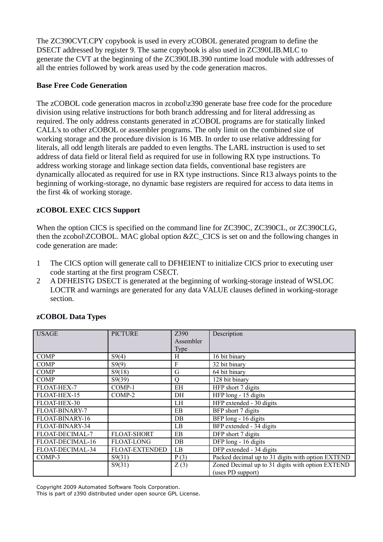The ZC390CVT.CPY copybook is used in every zCOBOL generated program to define the DSECT addressed by register 9. The same copybook is also used in ZC390LIB.MLC to generate the CVT at the beginning of the ZC390LIB.390 runtime load module with addresses of all the entries followed by work areas used by the code generation macros.

#### <span id="page-4-2"></span>**Base Free Code Generation**

The zCOBOL code generation macros in zcobol\z390 generate base free code for the procedure division using relative instructions for both branch addressing and for literal addressing as required. The only address constants generated in zCOBOL programs are for statically linked CALL's to other zCOBOL or assembler programs. The only limit on the combined size of working storage and the procedure division is 16 MB. In order to use relative addressing for literals, all odd length literals are padded to even lengths. The LARL instruction is used to set address of data field or literal field as required for use in following RX type instructions. To address working storage and linkage section data fields, conventional base registers are dynamically allocated as required for use in RX type instructions. Since R13 always points to the beginning of working-storage, no dynamic base registers are required for access to data items in the first 4k of working storage.

## <span id="page-4-1"></span>**zCOBOL EXEC CICS Support**

When the option CICS is specified on the command line for ZC390C, ZC390CL, or ZC390CLG, then the zcobol\ZCOBOL. MAC global option &ZC\_CICS is set on and the following changes in code generation are made:

- 1 The CICS option will generate call to DFHEIENT to initialize CICS prior to executing user code starting at the first program CSECT.
- 2 A DFHEISTG DSECT is generated at the beginning of working-storage instead of WSLOC LOCTR and warnings are generated for any data VALUE clauses defined in working-storage section.

| <b>USAGE</b>       | <b>PICTURE</b>        | Z390      | Description                                       |
|--------------------|-----------------------|-----------|---------------------------------------------------|
|                    |                       | Assembler |                                                   |
|                    |                       | Type      |                                                   |
| <b>COMP</b>        | S9(4)                 | H         | 16 bit binary                                     |
| <b>COMP</b>        | S9(9)                 | F         | 32 bit binary                                     |
| <b>COMP</b>        | S9(18)                | G         | 64 bit binary                                     |
| <b>COMP</b>        | S9(39)                | $\rm{O}$  | 128 bit binary                                    |
| <b>FLOAT-HEX-7</b> | COMP-1                | EH        | HFP short 7 digits                                |
| FLOAT-HEX-15       | COMP-2                | DH        | HFP long - 15 digits                              |
| FLOAT-HEX-30       |                       | LH        | HFP extended - 30 digits                          |
| FLOAT-BINARY-7     |                       | EB        | BFP short 7 digits                                |
| FLOAT-BINARY-16    |                       | DB        | BFP long - 16 digits                              |
| FLOAT-BINARY-34    |                       | LB        | BFP extended - 34 digits                          |
| FLOAT-DECIMAL-7    | <b>FLOAT-SHORT</b>    | EB        | DFP short 7 digits                                |
| FLOAT-DECIMAL-16   | <b>FLOAT-LONG</b>     | DB        | DFP long - 16 digits                              |
| FLOAT-DECIMAL-34   | <b>FLOAT-EXTENDED</b> | LB        | DFP extended - 34 digits                          |
| COMP-3             | S9(31)                | P(3)      | Packed decimal up to 31 digits with option EXTEND |
|                    | S9(31)                | Z(3)      | Zoned Decimal up to 31 digits with option EXTEND  |
|                    |                       |           | (uses PD support)                                 |

### <span id="page-4-0"></span>**zCOBOL Data Types**

Copyright 2009 Automated Software Tools Corporation.

This is part of z390 distributed under open source GPL License.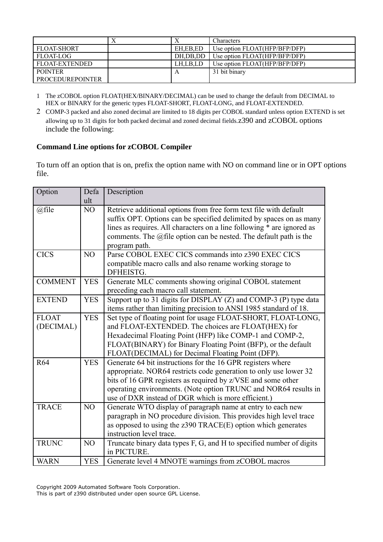|                         | $\Lambda$ |          | <b>Characters</b>             |
|-------------------------|-----------|----------|-------------------------------|
| <b>FLOAT-SHORT</b>      |           | EH.EB.ED | Use option FLOAT(HFP/BFP/DFP) |
| FLOAT-LOG               |           | DH.DB.DD | Use option FLOAT(HFP/BFP/DFP) |
| FLOAT-EXTENDED          |           | LH.LB.LD | Use option FLOAT(HFP/BFP/DFP) |
| <b>POINTER</b>          |           |          | 31 bit binary                 |
| <b>PROCEDUREPOINTER</b> |           |          |                               |

1 The zCOBOL option FLOAT(HEX/BINARY/DECIMAL) can be used to change the default from DECIMAL to HEX or BINARY for the generic types FLOAT-SHORT, FLOAT-LONG, and FLOAT-EXTENDED.

2 COMP-3 packed and also zoned decimal are limited to 18 digits per COBOL standard unless option EXTEND is set allowing up to 31 digits for both packed decimal and zoned decimal fields.z390 and zCOBOL options include the following:

### <span id="page-5-0"></span>**Command Line options for zCOBOL Compiler**

To turn off an option that is on, prefix the option name with NO on command line or in OPT options file.

| Option         | Defa           | Description                                                            |  |
|----------------|----------------|------------------------------------------------------------------------|--|
|                | ult            |                                                                        |  |
| @file          | NO             | Retrieve additional options from free form text file with default      |  |
|                |                | suffix OPT. Options can be specified delimited by spaces on as many    |  |
|                |                | lines as requires. All characters on a line following * are ignored as |  |
|                |                | comments. The @file option can be nested. The default path is the      |  |
| <b>CICS</b>    | N <sub>O</sub> | program path.<br>Parse COBOL EXEC CICS commands into z390 EXEC CICS    |  |
|                |                |                                                                        |  |
|                |                | compatible macro calls and also rename working storage to<br>DFHEISTG. |  |
| <b>COMMENT</b> | <b>YES</b>     | Generate MLC comments showing original COBOL statement                 |  |
|                |                | preceding each macro call statement.                                   |  |
| <b>EXTEND</b>  | <b>YES</b>     | Support up to 31 digits for DISPLAY (Z) and COMP-3 (P) type data       |  |
|                |                | items rather than limiting precision to ANSI 1985 standard of 18.      |  |
| <b>FLOAT</b>   | <b>YES</b>     | Set type of floating point for usage FLOAT-SHORT, FLOAT-LONG,          |  |
| (DECIMAL)      |                | and FLOAT-EXTENDED. The choices are FLOAT(HEX) for                     |  |
|                |                | Hexadecimal Floating Point (HFP) like COMP-1 and COMP-2,               |  |
|                |                | FLOAT(BINARY) for Binary Floating Point (BFP), or the default          |  |
|                |                | FLOAT(DECIMAL) for Decimal Floating Point (DFP).                       |  |
| R64            | <b>YES</b>     | Generate 64 bit instructions for the 16 GPR registers where            |  |
|                |                | appropriate. NOR64 restricts code generation to only use lower 32      |  |
|                |                | bits of 16 GPR registers as required by z/VSE and some other           |  |
|                |                | operating environments. (Note option TRUNC and NOR64 results in        |  |
|                |                | use of DXR instead of DGR which is more efficient.)                    |  |
| <b>TRACE</b>   | NO             | Generate WTO display of paragraph name at entry to each new            |  |
|                |                | paragraph in NO procedure division. This provides high level trace     |  |
|                |                | as opposed to using the z390 TRACE(E) option which generates           |  |
|                |                | instruction level trace.                                               |  |
| <b>TRUNC</b>   | N <sub>O</sub> | Truncate binary data types F, G, and H to specified number of digits   |  |
|                |                | in PICTURE.                                                            |  |
| <b>WARN</b>    | <b>YES</b>     | Generate level 4 MNOTE warnings from zCOBOL macros                     |  |

Copyright 2009 Automated Software Tools Corporation.

This is part of z390 distributed under open source GPL License.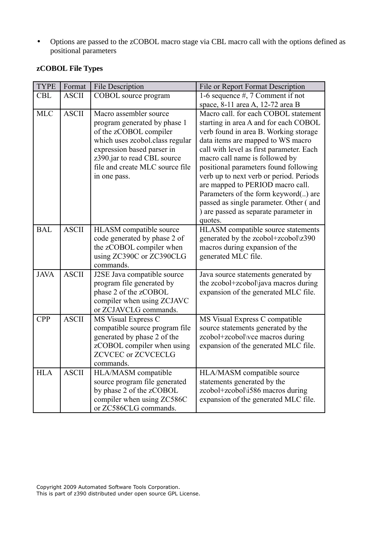• Options are passed to the zCOBOL macro stage via CBL macro call with the options defined as positional parameters

| <b>TYPE</b> | Format       | <b>File Description</b>                                                                                                                                                                                                             | File or Report Format Description                                                                                                                                                                                                                                                                                                                                                                                                                                                                       |
|-------------|--------------|-------------------------------------------------------------------------------------------------------------------------------------------------------------------------------------------------------------------------------------|---------------------------------------------------------------------------------------------------------------------------------------------------------------------------------------------------------------------------------------------------------------------------------------------------------------------------------------------------------------------------------------------------------------------------------------------------------------------------------------------------------|
| <b>CBL</b>  | <b>ASCII</b> | COBOL source program                                                                                                                                                                                                                | 1-6 sequence $#$ , 7 Comment if not                                                                                                                                                                                                                                                                                                                                                                                                                                                                     |
|             |              |                                                                                                                                                                                                                                     | space, 8-11 area A, 12-72 area B                                                                                                                                                                                                                                                                                                                                                                                                                                                                        |
| <b>MLC</b>  | <b>ASCII</b> | Macro assembler source<br>program generated by phase 1<br>of the zCOBOL compiler<br>which uses zcobol.class regular<br>expression based parser in<br>z390.jar to read CBL source<br>file and create MLC source file<br>in one pass. | Macro call. for each COBOL statement<br>starting in area A and for each COBOL<br>verb found in area B. Working storage<br>data items are mapped to WS macro<br>call with level as first parameter. Each<br>macro call name is followed by<br>positional parameters found following<br>verb up to next verb or period. Periods<br>are mapped to PERIOD macro call.<br>Parameters of the form keyword() are<br>passed as single parameter. Other (and<br>) are passed as separate parameter in<br>quotes. |
| <b>BAL</b>  | <b>ASCII</b> | HLASM compatible source<br>code generated by phase 2 of<br>the zCOBOL compiler when<br>using ZC390C or ZC390CLG<br>commands.                                                                                                        | HLASM compatible source statements<br>generated by the zcobol+zcobol\z390<br>macros during expansion of the<br>generated MLC file.                                                                                                                                                                                                                                                                                                                                                                      |
| <b>JAVA</b> | <b>ASCII</b> | J2SE Java compatible source<br>program file generated by<br>phase 2 of the zCOBOL<br>compiler when using ZCJAVC<br>or ZCJAVCLG commands.                                                                                            | Java source statements generated by<br>the zcobol+zcobol\java macros during<br>expansion of the generated MLC file.                                                                                                                                                                                                                                                                                                                                                                                     |
| <b>CPP</b>  | <b>ASCII</b> | MS Visual Express C<br>compatible source program file<br>generated by phase 2 of the<br>zCOBOL compiler when using<br><b>ZCVCEC or ZCVCECLG</b><br>commands.                                                                        | MS Visual Express C compatible<br>source statements generated by the<br>zcobol+zcobol\vce macros during<br>expansion of the generated MLC file.                                                                                                                                                                                                                                                                                                                                                         |
| <b>HLA</b>  | <b>ASCII</b> | HLA/MASM compatible<br>source program file generated<br>by phase 2 of the zCOBOL<br>compiler when using ZC586C<br>or ZC586CLG commands.                                                                                             | HLA/MASM compatible source<br>statements generated by the<br>zcobol+zcobol\i586 macros during<br>expansion of the generated MLC file.                                                                                                                                                                                                                                                                                                                                                                   |

# <span id="page-6-0"></span>**zCOBOL File Types**

Copyright 2009 Automated Software Tools Corporation. This is part of z390 distributed under open source GPL License.